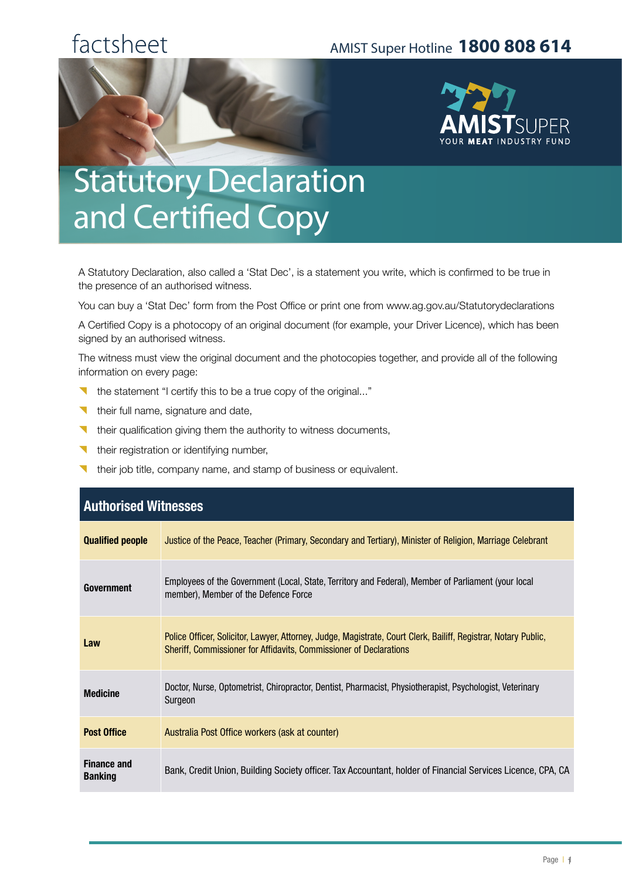# factsheet

#### AMIST Super Hotline **1800 808 614**



# **Statutory Declaration** and Certified Copy

A Statutory Declaration, also called a 'Stat Dec', is a statement you write, which is confirmed to be true in the presence of an authorised witness.

You can buy a 'Stat Dec' form from the Post Office or print one from www.ag.gov.au/Statutorydeclarations

A Certified Copy is a photocopy of an original document (for example, your Driver Licence), which has been signed by an authorised witness.

The witness must view the original document and the photocopies together, and provide all of the following information on every page:

- { the statement "I certify this to be a true copy of the original..."
- **their full name, signature and date,**
- $\blacksquare$  their qualification giving them the authority to witness documents,
- their registration or identifying number,
- their job title, company name, and stamp of business or equivalent.

| <b>Authorised Witnesses</b>          |                                                                                                                                                                                       |  |
|--------------------------------------|---------------------------------------------------------------------------------------------------------------------------------------------------------------------------------------|--|
| <b>Qualified people</b>              | Justice of the Peace, Teacher (Primary, Secondary and Tertiary), Minister of Religion, Marriage Celebrant                                                                             |  |
| <b>Government</b>                    | Employees of the Government (Local, State, Territory and Federal), Member of Parliament (your local<br>member), Member of the Defence Force                                           |  |
| Law                                  | Police Officer, Solicitor, Lawyer, Attorney, Judge, Magistrate, Court Clerk, Bailiff, Registrar, Notary Public,<br>Sheriff, Commissioner for Affidavits, Commissioner of Declarations |  |
| <b>Medicine</b>                      | Doctor, Nurse, Optometrist, Chiropractor, Dentist, Pharmacist, Physiotherapist, Psychologist, Veterinary<br>Surgeon                                                                   |  |
| <b>Post Office</b>                   | Australia Post Office workers (ask at counter)                                                                                                                                        |  |
| <b>Finance and</b><br><b>Banking</b> | Bank, Credit Union, Building Society officer. Tax Accountant, holder of Financial Services Licence, CPA, CA                                                                           |  |